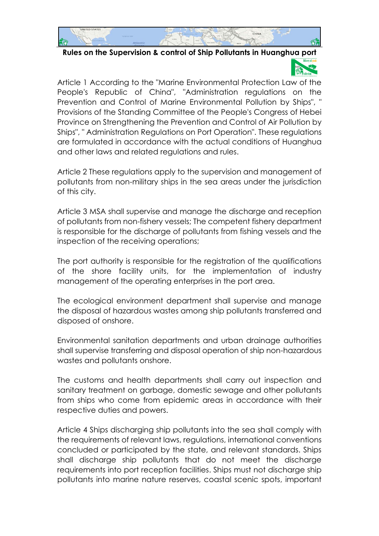

**Rules on the Supervision & control of Ship Pollutants in Huanghua port**

Article 1 According to the "Marine Environmental Protection Law of the People's Republic of China", "Administration regulations on the Prevention and Control of Marine Environmental Pollution by Ships", " Provisions of the Standing Committee of the People's Congress of Hebei Province on Strengthening the Prevention and Control of Air Pollution by Ships", " Administration Regulations on Port Operation". These regulations are formulated in accordance with the actual conditions of Huanghua and other laws and related regulations and rules.

Article 2 These regulations apply to the supervision and management of pollutants from non-military ships in the sea areas under the jurisdiction of this city.

Article 3 MSA shall supervise and manage the discharge and reception of pollutants from non-fishery vessels; The competent fishery department is responsible for the discharge of pollutants from fishing vessels and the inspection of the receiving operations;

The port authority is responsible for the registration of the qualifications of the shore facility units, for the implementation of industry management of the operating enterprises in the port area.

The ecological environment department shall supervise and manage the disposal of hazardous wastes among ship pollutants transferred and disposed of onshore.

Environmental sanitation departments and urban drainage authorities shall supervise transferring and disposal operation of ship non-hazardous wastes and pollutants onshore.

The customs and health departments shall carry out inspection and sanitary treatment on garbage, domestic sewage and other pollutants from ships who come from epidemic areas in accordance with their respective duties and powers.

Article 4 Ships discharging ship pollutants into the sea shall comply with the requirements of relevant laws, regulations, international conventions concluded or participated by the state, and relevant standards. Ships shall discharge ship pollutants that do not meet the discharge requirements into port reception facilities. Ships must not discharge ship pollutants into marine nature reserves, coastal scenic spots, important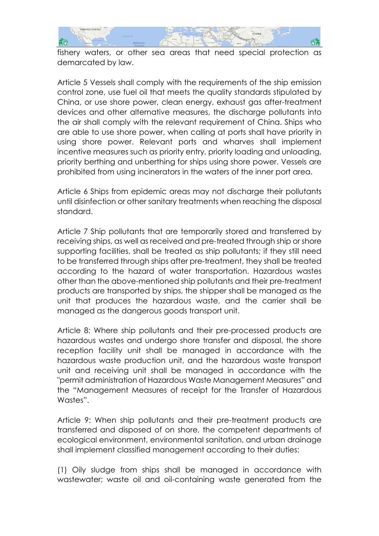

fishery waters, or other sea areas that need special protection as demarcated by law.

Article 5 Vessels shall comply with the requirements of the ship emission control zone, use fuel oil that meets the quality standards stipulated by China, or use shore power, clean energy, exhaust gas after-treatment devices and other alternative measures, the discharge pollutants into the air shall comply with the relevant requirement of China. Ships who are able to use shore power, when calling at ports shall have priority in using shore power. Relevant ports and wharves shall implement incentive measures such as priority entry, priority loading and unloading, priority berthing and unberthing for ships using shore power. Vessels are prohibited from using incinerators in the waters of the inner port area.

Article 6 Ships from epidemic areas may not discharge their pollutants until disinfection or other sanitary treatments when reaching the disposal standard.

Article 7 Ship pollutants that are temporarily stored and transferred by receiving ships, as well as received and pre-treated through ship or shore supporting facilities, shall be treated as ship pollutants; if they still need to be transferred through ships after pre-treatment, they shall be treated according to the hazard of water transportation. Hazardous wastes other than the above-mentioned ship pollutants and their pre-treatment products are transported by ships, the shipper shall be managed as the unit that produces the hazardous waste, and the carrier shall be managed as the dangerous goods transport unit.

Article 8: Where ship pollutants and their pre-processed products are hazardous wastes and undergo shore transfer and disposal, the shore reception facility unit shall be managed in accordance with the hazardous waste production unit, and the hazardous waste transport unit and receiving unit shall be managed in accordance with the "permit administration of Hazardous Waste Management Measures" and the "Management Measures of receipt for the Transfer of Hazardous Wastes".

Article 9: When ship pollutants and their pre-treatment products are transferred and disposed of on shore, the competent departments of ecological environment, environmental sanitation, and urban drainage shall implement classified management according to their duties:

(1) Oily sludge from ships shall be managed in accordance with wastewater; waste oil and oil-containing waste generated from the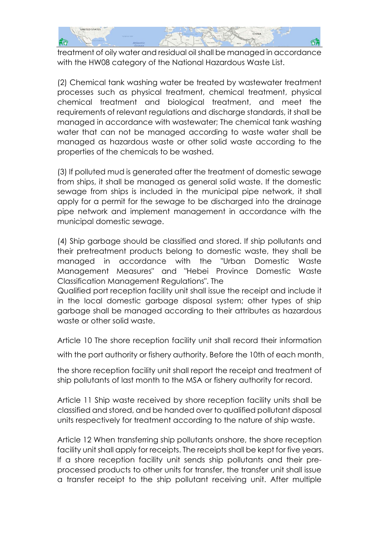

treatment of oily water and residual oil shall be managed in accordance with the HW08 category of the National Hazardous Waste List.

(2) Chemical tank washing water be treated by wastewater treatment processes such as physical treatment, chemical treatment, physical chemical treatment and biological treatment, and meet the requirements of relevant regulations and discharge standards, it shall be managed in accordance with wastewater; The chemical tank washing water that can not be managed according to waste water shall be managed as hazardous waste or other solid waste according to the properties of the chemicals to be washed.

(3) If polluted mud is generated after the treatment of domestic sewage from ships, it shall be managed as general solid waste. If the domestic sewage from ships is included in the municipal pipe network, it shall apply for a permit for the sewage to be discharged into the drainage pipe network and implement management in accordance with the municipal domestic sewage.

(4) Ship garbage should be classified and stored. If ship pollutants and their pretreatment products belong to domestic waste, they shall be managed in accordance with the "Urban Domestic Waste Management Measures" and "Hebei Province Domestic Waste Classification Management Regulations". The

Qualified port reception facility unit shall issue the receipt and include it in the local domestic garbage disposal system; other types of ship garbage shall be managed according to their attributes as hazardous waste or other solid waste.

Article 10 The shore reception facility unit shall record their information

with the port authority or fishery authority. Before the 10th of each month,

the shore reception facility unit shall report the receipt and treatment of ship pollutants of last month to the MSA or fishery authority for record.

Article 11 Ship waste received by shore reception facility units shall be classified and stored, and be handed over to qualified pollutant disposal units respectively for treatment according to the nature of ship waste.

Article 12 When transferring ship pollutants onshore, the shore reception facility unit shall apply for receipts. The receipts shall be kept for five years. If a shore reception facility unit sends ship pollutants and their preprocessed products to other units for transfer, the transfer unit shall issue a transfer receipt to the ship pollutant receiving unit. After multiple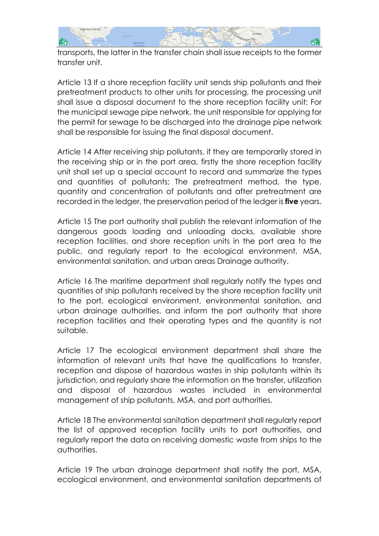

transports, the latter in the transfer chain shall issue receipts to the former transfer unit.

Article 13 If a shore reception facility unit sends ship pollutants and their pretreatment products to other units for processing, the processing unit shall issue a disposal document to the shore reception facility unit; For the municipal sewage pipe network, the unit responsible for applying for the permit for sewage to be discharged into the drainage pipe network shall be responsible for issuing the final disposal document.

Article 14 After receiving ship pollutants, if they are temporarily stored in the receiving ship or in the port area, firstly the shore reception facility unit shall set up a special account to record and summarize the types and quantities of pollutants; The pretreatment method, the type, quantity and concentration of pollutants and after pretreatment are recorded in the ledger, the preservation period of the ledger is **five** years.

Article 15 The port authority shall publish the relevant information of the dangerous goods loading and unloading docks, available shore reception facilities, and shore reception units in the port area to the public, and regularly report to the ecological environment, MSA, environmental sanitation, and urban areas Drainage authority.

Article 16 The maritime department shall regularly notify the types and quantities of ship pollutants received by the shore reception facility unit to the port, ecological environment, environmental sanitation, and urban drainage authorities, and inform the port authority that shore reception facilities and their operating types and the quantity is not suitable.

Article 17 The ecological environment department shall share the information of relevant units that have the qualifications to transfer, reception and dispose of hazardous wastes in ship pollutants within its jurisdiction, and regularly share the information on the transfer, utilization and disposal of hazardous wastes included in environmental management of ship pollutants, MSA, and port authorities.

Article 18 The environmental sanitation department shall regularly report the list of approved reception facility units to port authorities, and regularly report the data on receiving domestic waste from ships to the authorities.

Article 19 The urban drainage department shall notify the port, MSA, ecological environment, and environmental sanitation departments of